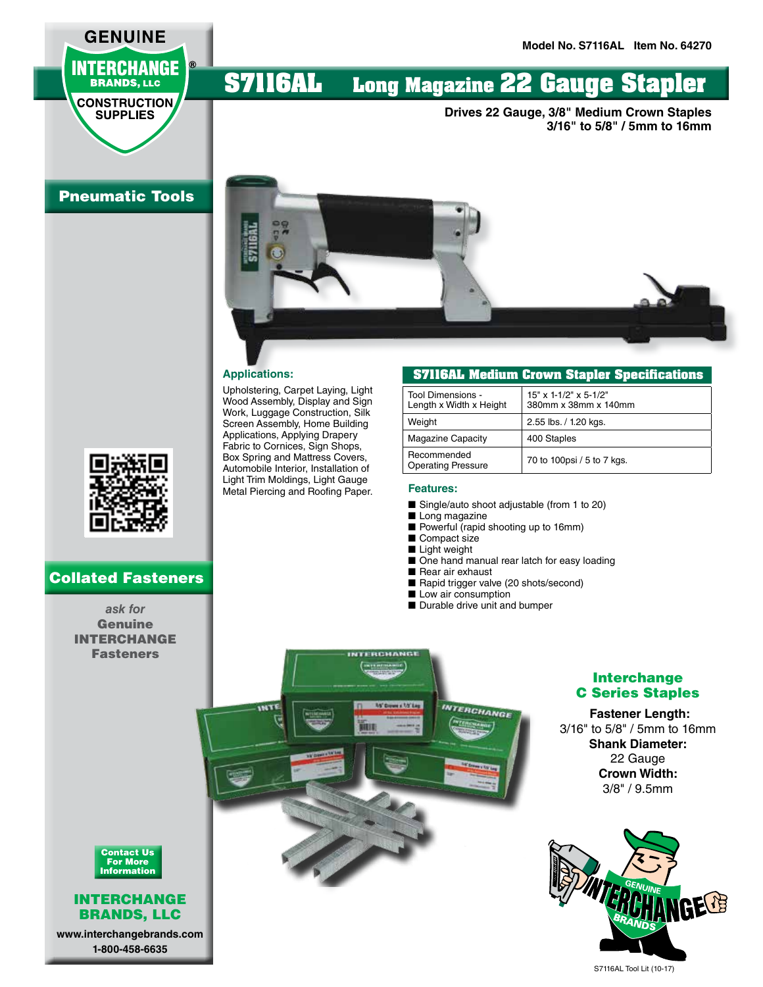## **GENUINE INTERCHANGE BRANDS, LLC**

**CONSTRUCTION SUPPLIES** 

# **S7116AL Long Magazine 22 Gauge Stapler**

**Drives 22 Gauge, 3/8" Medium Crown Staples 3/16" to 5/8" / 5mm to 16mm**

### Pneumatic Tools



### Collated Fasteners

*ask for*  Genuine INTERCHANGE Fasteners



Upholstering, Carpet Laying, Light Wood Assembly, Display and Sign Work, Luggage Construction, Silk Screen Assembly, Home Building Applications, Applying Drapery Fabric to Cornices, Sign Shops, Box Spring and Mattress Covers, Automobile Interior, Installation of Light Trim Moldings, Light Gauge Metal Piercing and Roofing Paper.

#### **S7116AL Medium Crown Stapler Specifications**

| Tool Dimensions -<br>Length x Width x Height | $15"$ x 1-1/2" x 5-1/2"<br>380mm x 38mm x 140mm |
|----------------------------------------------|-------------------------------------------------|
| Weight                                       | 2.55 lbs. / 1.20 kgs.                           |
| <b>Magazine Capacity</b>                     | 400 Staples                                     |
| Recommended<br><b>Operating Pressure</b>     | 70 to 100psi / 5 to 7 kgs.                      |

#### **Features:**

- Single/auto shoot adjustable (from 1 to 20)
- Long magazine
- Powerful (rapid shooting up to 16mm)
- Compact size
- Light weight

**1/5' Down x 1/5' Lag .** 

- One hand manual rear latch for easy loading
- Rear air exhaust
- Rapid trigger valve (20 shots/second)
- Low air consumption
- Durable drive unit and bumper

**INTERCHANGE** 



#### **Fastener Length:**

3/16" to 5/8" / 5mm to 16mm **Shank Diameter:** 22 Gauge **Crown Width:** 3/8" / 9.5mm





#### INTERCHANGE BRANDS, LLC

**www.interchangebrands.com 1-800-458-6635**